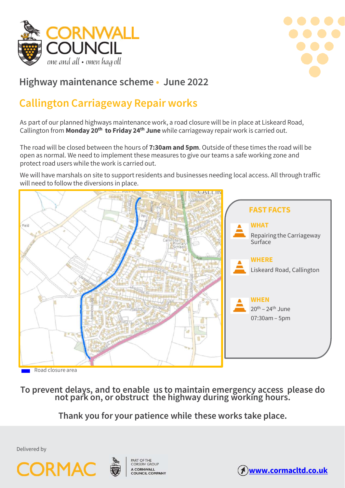



ONE and all • onen hag oll<br> **As part of our planned highways maintenance work, a road closure will be in place at Liskeard Road,**<br>
Callington from Monday 20<sup>th</sup> to Friday 24<sup>th</sup> June while carriageway repair work is carrie Callington from Monday 20<sup>th</sup> to Friday 24<sup>th</sup> June while carriageway repair work is carried out.

Highway maintenance scheme • June 2022<br>Callington Carriageway Repair works<br>As part of our planned highways maintenance work, a road closure will be in place at Liskeard Road,<br>Callington from Monday 20<sup>th</sup> to Friday 24<sup>th</sup> **Callington Carriageway Repair works**<br>As part of our planned highways maintenance work, a road closure will be in place at Liskeard Road,<br>Callington from **Monday 20<sup>th</sup> to Friday 24<sup>th</sup> June** while carriageway repair work **Callington Carriageway Repair works**<br>As part of our planned highways maintenance work, a road closure will be in place at Liskeard Road,<br>Callington from **Monday 20<sup>th</sup> to Friday 24<sup>th</sup> June** while carriageway repair work Example of our planned highways maintenance work, a road closure will be in place at Liskeard Road,<br>Callington from **Monday 20<sup>th</sup> to Friday 24<sup>th</sup> June** while carriageway repair work is carried out.<br>The road will be close As part of our planned highways maintenance work, a road closure w<br>Callington from **Monday 20<sup>th</sup> to Friday 24<sup>th</sup> June** while carriageway<br>The road will be closed between the hours of **7:30am and 5pm**. Outs<br>open as normal.



To prevent delays, and to en<br>
not park on, or obst<br>
Thank you for your<br>
Delivered by<br> **CORMAC**